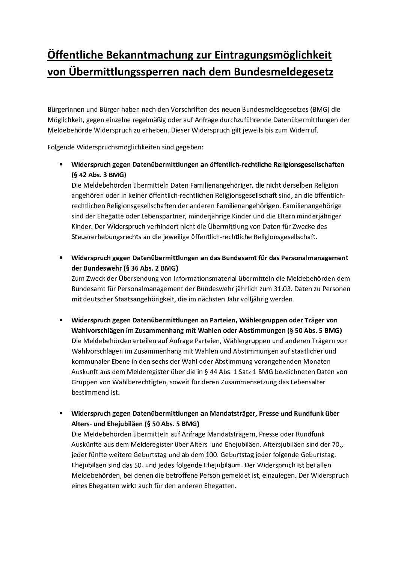## Öffentliche Bekanntmachung zur Eintragungsmöglichkeit von Übermittlungssperren nach dem Bundesmeldegesetz

Bürgerinnen und Bürger haben nach den Vorschriften des neuen Bundesmeldegesetzes (BMG) die Möglichkeit, gegen einzelne regelmäßig oder auf Anfrage durchzuführende Datenübermittlungen der Meldebehörde Widerspruch zu erheben. Dieser Widerspruch gilt jeweils bis zum Widerruf.

Folgende Widerspruchsmöglichkeiten sind gegeben:

• Widerspruch gegen Datenübermittlungen an öffentlich-rechtliche Religionsgesellschaften (§ 42 Abs. 3 BMG)

Die Meldebehörden übermitteln Daten Familienangehöriger, die nicht derselben Religion angehören oder in keiner öffentlich-rechtlichen Religionsgesellschaft sind, an die öffentlichrechtlichen Religionsgesellschaften der anderen Familienangehörigen. Familienangehörige sind der Ehegatte oder Lebenspartner, minderjährige Kinder und die Eltern minderjähriger Kinder. Der Widerspruch verhindert nicht die Übermittlung von Daten für Zwecke des Steuererhebungsrechts an die jeweilige öffentlich-rechtliche Religionsgesellschaft.

• Widerspruch gegen Datenübermittlungen an das Bundesamt für das Personalmanagement der Bundeswehr (§ 36 Abs. 2 BMG)

Zum Zweck der Übersendung von Informationsmaterial übermitteln die Meldebehörden dem Bundesamt für Personalmanagement der Bundeswehr jährlich zum 31.03. Daten zu Personen mit deutscher Staatsangehörigkeit, die im nächsten Jahr volljährig werden.

- · Widerspruch gegen Datenübermittlungen an Parteien, Wählergruppen oder Träger von Wahlvorschlägen im Zusammenhang mit Wahlen oder Abstimmungen (§ 50 Abs. 5 BMG) Die Meldebehörden erteilen auf Anfrage Parteien, Wählergruppen und anderen Trägern von Wahlvorschlägen im Zusammenhang mit Wahlen und Abstimmungen auf staatlicher und kommunaler Ebene in den sechs der Wahl oder Abstimmung vorangehenden Monaten Auskunft aus dem Melderegister über die in § 44 Abs. 1 Satz 1 BMG bezeichneten Daten von Gruppen von Wahlberechtigten, soweit für deren Zusammensetzung das Lebensalter bestimmend ist.
- Widerspruch gegen Datenübermittlungen an Mandatsträger, Presse und Rundfunk über Alters- und Ehejubiläen (§ 50 Abs. 5 BMG)

Die Meldebehörden übermitteln auf Anfrage Mandatsträgern, Presse oder Rundfunk Auskünfte aus dem Melderegister über Alters- und Ehejubiläen. Altersjubiläen sind der 70., jeder fünfte weitere Geburtstag und ab dem 100. Geburtstag jeder folgende Geburtstag. Ehejubiläen sind das 50. und jedes folgende Ehejubiläum. Der Widerspruch ist bei allen Meldebehörden, bei denen die betroffene Person gemeldet ist, einzulegen. Der Widerspruch eines Ehegatten wirkt auch für den anderen Ehegatten.